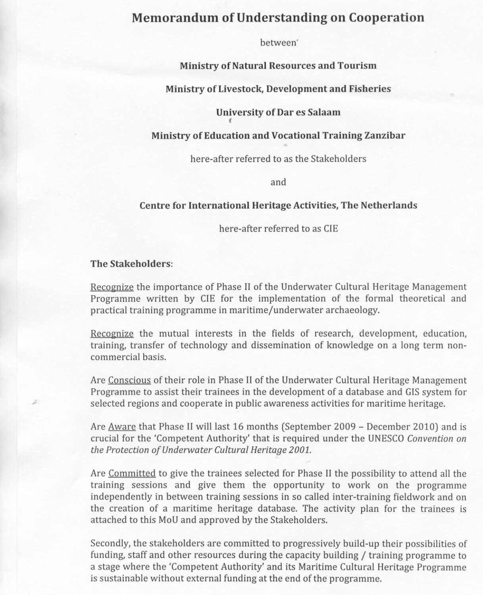# **Memorandum of Understanding on Cooperation**

between'

# Ministry of Natural Resources and Tourism

#### Ministry of Livestock, Development and Fisheries

### University of Dar es Salaam <sup>f</sup>

#### Ministry of Education and Vocational Training Zanzibar

here-after referred to as the Stakeholders

and

#### Centre for International Heritage Activities, The Netherlands

here-after referred to as CIE

#### The Stakeholders:

,

Recognize the importance of Phase II of the Underwater Cultural Heritage Management Programme written by CIE for the implementation of the formal theoretical and practical training programme in maritime/underwater archaeology.

Recognize the mutual interests in the fields of research, development, education, training, transfer of technology and dissemination of knowledge on a long term noncommercial basis.

Are Conscious of their role in Phase II of the Underwater Cultural Heritage Management Programme to assist their trainees in the development of a database and GIS system for selected regions and cooperate in public awareness activities for maritime heritage.

Are Aware that Phase II will last <sup>16</sup> months (September <sup>2009</sup> - December 2010) and is crucial for the 'Competent Authority' that is required under the UNESCO*Convention on the Protection of Underwater Cultural Heritage 2001.*

Are Committed to give the trainees selected for Phase II the possibility to attend all the training sessions and give them the opportunity to work on the programme independently in between training sessions in so called inter-training fieldwork and on the creation of a maritime heritage database. The activity plan for the trainees is attached to this MoU and approved by the Stakeholders.

Secondly, the stakeholders are committed to progressively build-up their possibilities of funding, staff and other resources during the capacity building / training programme to a stage where the 'Competent Authority' and its Maritime Cultural Heritage Programme is sustainable without external funding at the end of the programme.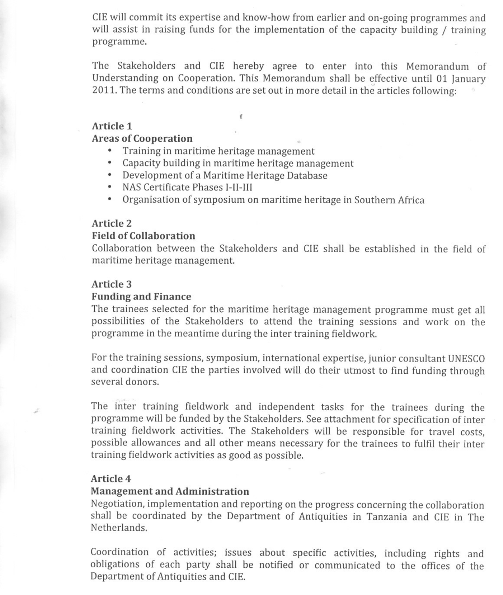CIEwill commit its expertise and know-how from earlier and on-going programmes and will assist in raising funds for the implementation of the capacity building / training programme.

The Stakeholders and CIE hereby agree to enter into this Memorandum of Understanding on Cooperation. This Memorandum shall be effective until 01 January 2011. The terms and conditions are set out in more detail in the articles following:

## Article 1

# Areas of Cooperation

- Training in maritime heritage management<br>• Canacity building in maritime heritage man
- . Capacity building in maritime heritage management

f

- Capacity building in maritime heritage manag<br>• Development of a Maritime Heritage Database<br>• NAS Gartificate Phases J. H. W • Development of a Maritime I<br>NAS Certificate Phases I-II-II
- 
- NAS Certificate Phases I-II-III<br>• Organisation of symposium on maritime heritage in Southern Africa

# Article 2

## Field of Collaboration

Collaboration between the Stakeholders and CIE shall be established in the field of maritime heritage management.

## Article 3

## Funding and Finance

The trainees selected for the maritime heritage management programme must get all possibilities of the Stakeholders to attend the training sessions and work on the programme in the meantime during the inter training fieldwork.

For the training sessions, symposium, international expertise, junior consultant UNESCO and coordination CIE the parties involved will do their utmost to find funding through several donors.

The inter training fieldwork and independent tasks for the trainees during the programme will be funded by the Stakeholders. See attachment for specification of inter training fieldwork activities. The Stakeholders will be responsible for travel costs, possible allowances and all other means necessary for the trainees to fulfil their inter training fieldwork activities as good as possible.

# Article 4

# Management and Administration

Negotiation, implementation and reporting on the progress concerning the collaboration shall be coordinated by the Department of Antiquities in Tanzania and CIE in The Netherlands.

Coordination of activities; issues about specific activities, including rights and obligations of each party shall be notified or communicated to the offices of the Department of Antiquities and CIE.